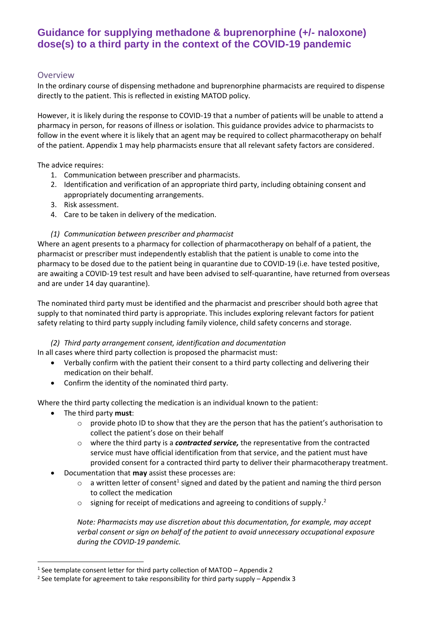### **Overview**

In the ordinary course of dispensing methadone and buprenorphine pharmacists are required to dispense directly to the patient. This is reflected in existing MATOD policy.

However, it is likely during the response to COVID-19 that a number of patients will be unable to attend a pharmacy in person, for reasons of illness or isolation. This guidance provides advice to pharmacists to follow in the event where it is likely that an agent may be required to collect pharmacotherapy on behalf of the patient. Appendix 1 may help pharmacists ensure that all relevant safety factors are considered.

The advice requires:

- 1. Communication between prescriber and pharmacists.
- 2. Identification and verification of an appropriate third party, including obtaining consent and appropriately documenting arrangements.
- 3. Risk assessment.
- 4. Care to be taken in delivery of the medication.

#### *(1) Communication between prescriber and pharmacist*

Where an agent presents to a pharmacy for collection of pharmacotherapy on behalf of a patient, the pharmacist or prescriber must independently establish that the patient is unable to come into the pharmacy to be dosed due to the patient being in quarantine due to COVID-19 (i.e. have tested positive, are awaiting a COVID-19 test result and have been advised to self-quarantine, have returned from overseas and are under 14 day quarantine).

The nominated third party must be identified and the pharmacist and prescriber should both agree that supply to that nominated third party is appropriate. This includes exploring relevant factors for patient safety relating to third party supply including family violence, child safety concerns and storage.

#### *(2) Third party arrangement consent, identification and documentation*

In all cases where third party collection is proposed the pharmacist must:

- Verbally confirm with the patient their consent to a third party collecting and delivering their medication on their behalf.
- Confirm the identity of the nominated third party.

Where the third party collecting the medication is an individual known to the patient:

- The third party **must**:
	- $\circ$  provide photo ID to show that they are the person that has the patient's authorisation to collect the patient's dose on their behalf
	- o where the third party is a *contracted service,* the representative from the contracted service must have official identification from that service, and the patient must have provided consent for a contracted third party to deliver their pharmacotherapy treatment.
- Documentation that **may** assist these processes are:
	- $\circ$  a written letter of consent<sup>1</sup> signed and dated by the patient and naming the third person to collect the medication
	- $\circ$  signing for receipt of medications and agreeing to conditions of supply.<sup>2</sup>

*Note: Pharmacists may use discretion about this documentation, for example, may accept verbal consent or sign on behalf of the patient to avoid unnecessary occupational exposure during the COVID-19 pandemic.*

<sup>1</sup> See template consent letter for third party collection of MATOD – Appendix 2

<sup>&</sup>lt;sup>2</sup> See template for agreement to take responsibility for third party supply – Appendix 3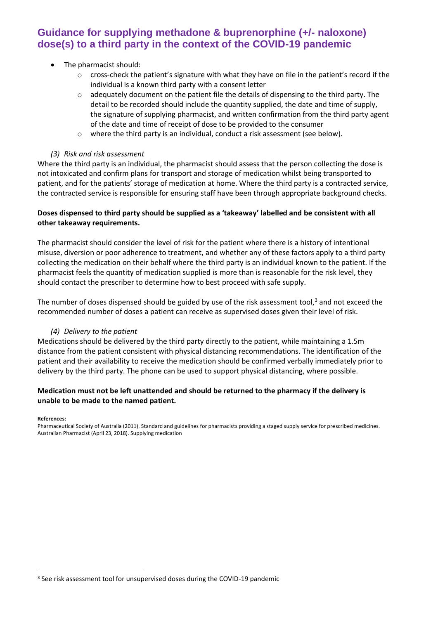#### • The pharmacist should:

- o cross-check the patient's signature with what they have on file in the patient's record if the individual is a known third party with a consent letter
- $\circ$  adequately document on the patient file the details of dispensing to the third party. The detail to be recorded should include the quantity supplied, the date and time of supply, the signature of supplying pharmacist, and written confirmation from the third party agent of the date and time of receipt of dose to be provided to the consumer
- o where the third party is an individual, conduct a risk assessment (see below).

#### *(3) Risk and risk assessment*

Where the third party is an individual, the pharmacist should assess that the person collecting the dose is not intoxicated and confirm plans for transport and storage of medication whilst being transported to patient, and for the patients' storage of medication at home. Where the third party is a contracted service, the contracted service is responsible for ensuring staff have been through appropriate background checks.

#### **Doses dispensed to third party should be supplied as a 'takeaway' labelled and be consistent with all other takeaway requirements.**

The pharmacist should consider the level of risk for the patient where there is a history of intentional misuse, diversion or poor adherence to treatment, and whether any of these factors apply to a third party collecting the medication on their behalf where the third party is an individual known to the patient. If the pharmacist feels the quantity of medication supplied is more than is reasonable for the risk level, they should contact the prescriber to determine how to best proceed with safe supply.

The number of doses dispensed should be guided by use of the risk assessment tool,<sup>3</sup> and not exceed the recommended number of doses a patient can receive as supervised doses given their level of risk.

#### *(4) Delivery to the patient*

Medications should be delivered by the third party directly to the patient, while maintaining a 1.5m distance from the patient consistent with physical distancing recommendations. The identification of the patient and their availability to receive the medication should be confirmed verbally immediately prior to delivery by the third party. The phone can be used to support physical distancing, where possible.

#### **Medication must not be left unattended and should be returned to the pharmacy if the delivery is unable to be made to the named patient.**

#### **References:**

Pharmaceutical Society of Australia (2011). Standard and guidelines for pharmacists providing a staged supply service for prescribed medicines. Australian Pharmacist (April 23, 2018). Supplying medication

<sup>&</sup>lt;sup>3</sup> See risk assessment tool for unsupervised doses during the COVID-19 pandemic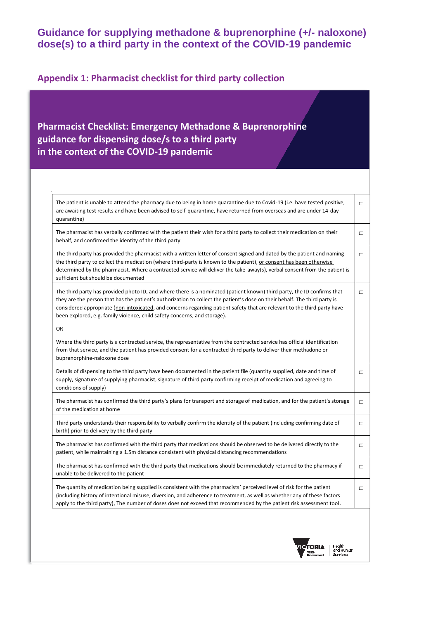### **Appendix 1: Pharmacist checklist for third party collection**

## **Pharmacist Checklist: Emergency Methadone & Buprenorphine guidance for dispensing dose/s to a third party in the context of the COVID-19 pandemic**

| The patient is unable to attend the pharmacy due to being in home quarantine due to Covid-19 (i.e. have tested positive,<br>are awaiting test results and have been advised to self-quarantine, have returned from overseas and are under 14-day<br>quarantine)                                                                                                                                                                                                      | $\Box$ |
|----------------------------------------------------------------------------------------------------------------------------------------------------------------------------------------------------------------------------------------------------------------------------------------------------------------------------------------------------------------------------------------------------------------------------------------------------------------------|--------|
| The pharmacist has verbally confirmed with the patient their wish for a third party to collect their medication on their<br>behalf, and confirmed the identity of the third party                                                                                                                                                                                                                                                                                    | $\Box$ |
| The third party has provided the pharmacist with a written letter of consent signed and dated by the patient and naming<br>the third party to collect the medication (where third-party is known to the patient), or consent has been otherwise<br>determined by the pharmacist. Where a contracted service will deliver the take-away(s), verbal consent from the patient is<br>sufficient but should be documented                                                 | $\Box$ |
| The third party has provided photo ID, and where there is a nominated (patient known) third party, the ID confirms that<br>they are the person that has the patient's authorization to collect the patient's dose on their behalf. The third party is<br>considered appropriate (non-intoxicated, and concerns regarding patient safety that are relevant to the third party have<br>been explored, e.g. family violence, child safety concerns, and storage).<br>OR | $\Box$ |
| Where the third party is a contracted service, the representative from the contracted service has official identification<br>from that service, and the patient has provided consent for a contracted third party to deliver their methadone or<br>buprenorphine-naloxone dose                                                                                                                                                                                       |        |
| Details of dispensing to the third party have been documented in the patient file (quantity supplied, date and time of<br>supply, signature of supplying pharmacist, signature of third party confirming receipt of medication and agreeing to<br>conditions of supply)                                                                                                                                                                                              | $\Box$ |
| The pharmacist has confirmed the third party's plans for transport and storage of medication, and for the patient's storage<br>of the medication at home                                                                                                                                                                                                                                                                                                             | $\Box$ |
| Third party understands their responsibility to verbally confirm the identity of the patient (including confirming date of<br>birth) prior to delivery by the third party                                                                                                                                                                                                                                                                                            | $\Box$ |
| The pharmacist has confirmed with the third party that medications should be observed to be delivered directly to the<br>patient, while maintaining a 1.5m distance consistent with physical distancing recommendations                                                                                                                                                                                                                                              | $\Box$ |
| The pharmacist has confirmed with the third party that medications should be immediately returned to the pharmacy if<br>unable to be delivered to the patient                                                                                                                                                                                                                                                                                                        | $\Box$ |
| The quantity of medication being supplied is consistent with the pharmacists' perceived level of risk for the patient<br>(including history of intentional misuse, diversion, and adherence to treatment, as well as whether any of these factors<br>apply to the third party), The number of doses does not exceed that recommended by the patient risk assessment tool.                                                                                            | $\Box$ |
|                                                                                                                                                                                                                                                                                                                                                                                                                                                                      |        |

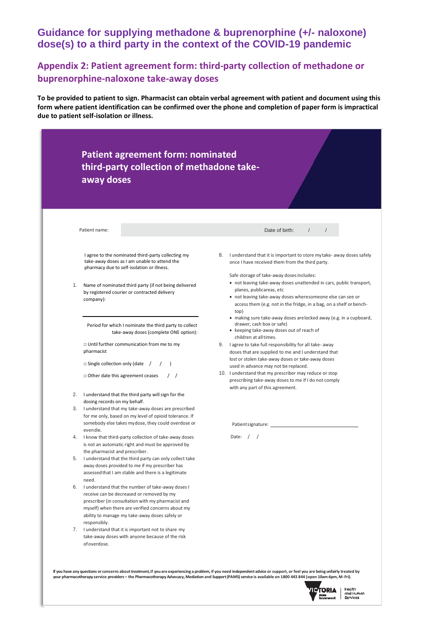### **Appendix 2: Patient agreement form: third-party collection of methadone or buprenorphine-naloxone take-away doses**

**To be provided to patient to sign. Pharmacist can obtain verbal agreement with patient and document using this form where patient identification can be confirmed over the phone and completion of paper form is impractical due to patient self-isolation or illness.** 

|    | third-party collection of methadone take-<br>away doses                                                                                          |                                                                                                                                                                                                                                                                                           |
|----|--------------------------------------------------------------------------------------------------------------------------------------------------|-------------------------------------------------------------------------------------------------------------------------------------------------------------------------------------------------------------------------------------------------------------------------------------------|
|    |                                                                                                                                                  |                                                                                                                                                                                                                                                                                           |
|    |                                                                                                                                                  |                                                                                                                                                                                                                                                                                           |
|    | Patient name:                                                                                                                                    | Date of birth:                                                                                                                                                                                                                                                                            |
|    | I agree to the nominated third-party collecting my<br>take-away doses as I am unable to attend the<br>pharmacy due to self-isolation or illness. | 8. I understand that it is important to store my take- away doses safely<br>once I have received them from the third party.                                                                                                                                                               |
| 1. | Name of nominated third party (if not being delivered<br>by registered courier or contracted delivery<br>company):                               | Safe storage of take-away doses includes:<br>• not leaving take-away doses unattended in cars, public transport,<br>planes, publicareas, etc<br>• not leaving take-away doses wheresomeone else can see or<br>access them (e.g. not in the fridge, in a bag, on a shelf or bench-<br>top) |
|    | Period for which I nominate the third party to collect<br>take-away doses (complete ONE option):                                                 | • making sure take-away doses are locked away (e.g. in a cupboard,<br>drawer, cash box or safe)<br>• keeping take-away doses out of reach of<br>children at all times.                                                                                                                    |
|    | $\Box$ Until further communication from me to my<br>pharmacist                                                                                   | 9. I agree to take full responsibility for all take- away<br>doses that are supplied to me and I understand that                                                                                                                                                                          |
|    | $\Box$ Single collection only (date /                                                                                                            | lost or stolen take-away doses or take-away doses<br>used in advance may not be replaced.                                                                                                                                                                                                 |
|    | $\Box$ Other date this agreement ceases                                                                                                          | 10. I understand that my prescriber may reduce or stop<br>prescribing take-away doses to me if I do not comply<br>with any part of this agreement.                                                                                                                                        |
|    | 2. I understand that the third party will sign for the<br>dosing records on my behalf.                                                           |                                                                                                                                                                                                                                                                                           |
|    | 3. I understand that my take-away doses are prescribed                                                                                           |                                                                                                                                                                                                                                                                                           |
|    | for me only, based on my level of opioid tolerance. If                                                                                           |                                                                                                                                                                                                                                                                                           |
|    | somebody else takes mydose, they could overdose or<br>even die.                                                                                  |                                                                                                                                                                                                                                                                                           |
|    | 4. I know that third-party collection of take-away doses<br>is not an automatic right and must be approved by                                    | Date: $/$                                                                                                                                                                                                                                                                                 |
| 5. | the pharmacist and prescriber.<br>I understand that the third party can only collect take                                                        |                                                                                                                                                                                                                                                                                           |
|    | away doses provided to me if my prescriber has<br>assessed that I am stable and there is a legitimate                                            |                                                                                                                                                                                                                                                                                           |
| 6. | need.<br>I understand that the number of take-away doses I                                                                                       |                                                                                                                                                                                                                                                                                           |
|    | receive can be decreased or removed by my                                                                                                        |                                                                                                                                                                                                                                                                                           |
|    | prescriber (in consultation with my pharmacist and                                                                                               |                                                                                                                                                                                                                                                                                           |
|    | myself) when there are verified concerns about my                                                                                                |                                                                                                                                                                                                                                                                                           |
|    | ability to manage my take-away doses safely or<br>responsibly.                                                                                   |                                                                                                                                                                                                                                                                                           |
|    | 7. I understand that it is important not to share my                                                                                             |                                                                                                                                                                                                                                                                                           |
|    | take-away doses with anyone because of the risk<br>of overdose.                                                                                  |                                                                                                                                                                                                                                                                                           |